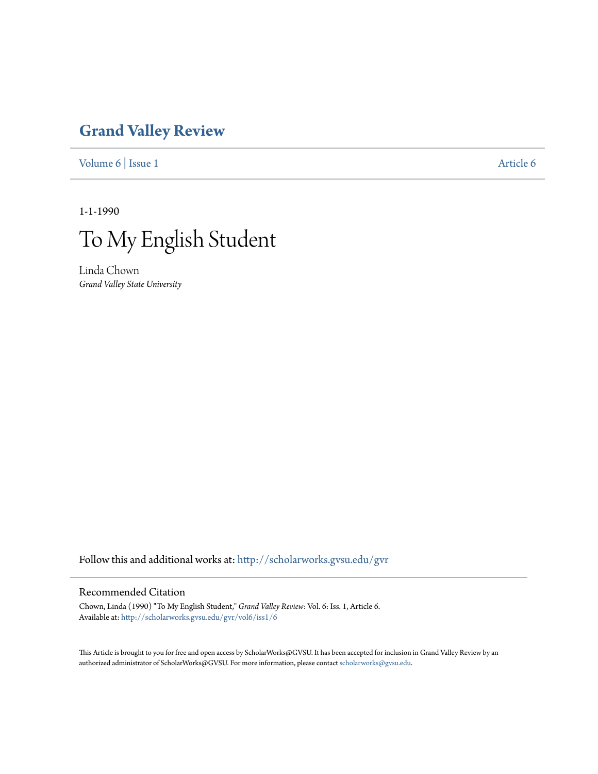## **[Grand Valley Review](http://scholarworks.gvsu.edu/gvr?utm_source=scholarworks.gvsu.edu%2Fgvr%2Fvol6%2Fiss1%2F6&utm_medium=PDF&utm_campaign=PDFCoverPages)**

[Volume 6](http://scholarworks.gvsu.edu/gvr/vol6?utm_source=scholarworks.gvsu.edu%2Fgvr%2Fvol6%2Fiss1%2F6&utm_medium=PDF&utm_campaign=PDFCoverPages) | [Issue 1](http://scholarworks.gvsu.edu/gvr/vol6/iss1?utm_source=scholarworks.gvsu.edu%2Fgvr%2Fvol6%2Fiss1%2F6&utm_medium=PDF&utm_campaign=PDFCoverPages) [Article 6](http://scholarworks.gvsu.edu/gvr/vol6/iss1/6?utm_source=scholarworks.gvsu.edu%2Fgvr%2Fvol6%2Fiss1%2F6&utm_medium=PDF&utm_campaign=PDFCoverPages)

1-1-1990



Linda Chown *Grand Valley State University*

Follow this and additional works at: [http://scholarworks.gvsu.edu/gvr](http://scholarworks.gvsu.edu/gvr?utm_source=scholarworks.gvsu.edu%2Fgvr%2Fvol6%2Fiss1%2F6&utm_medium=PDF&utm_campaign=PDFCoverPages)

## Recommended Citation

Chown, Linda (1990) "To My English Student," *Grand Valley Review*: Vol. 6: Iss. 1, Article 6. Available at: [http://scholarworks.gvsu.edu/gvr/vol6/iss1/6](http://scholarworks.gvsu.edu/gvr/vol6/iss1/6?utm_source=scholarworks.gvsu.edu%2Fgvr%2Fvol6%2Fiss1%2F6&utm_medium=PDF&utm_campaign=PDFCoverPages)

This Article is brought to you for free and open access by ScholarWorks@GVSU. It has been accepted for inclusion in Grand Valley Review by an authorized administrator of ScholarWorks@GVSU. For more information, please contact [scholarworks@gvsu.edu.](mailto:scholarworks@gvsu.edu)